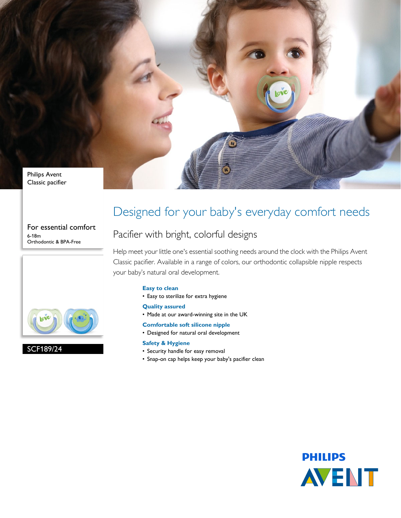

For essential comfort 6-18m Orthodontic & BPA-Free



### SCF189/24

## Designed for your baby's everyday comfort needs

### Pacifier with bright, colorful designs

Help meet your little one's essential soothing needs around the clock with the Philips Avent Classic pacifier. Available in a range of colors, our orthodontic collapsible nipple respects your baby's natural oral development.

#### **Easy to clean**

• Easy to sterilize for extra hygiene

#### **Quality assured**

- Made at our award-winning site in the UK
- **Comfortable soft silicone nipple**
- Designed for natural oral development

#### **Safety & Hygiene**

- Security handle for easy removal
- Snap-on cap helps keep your baby's pacifier clean